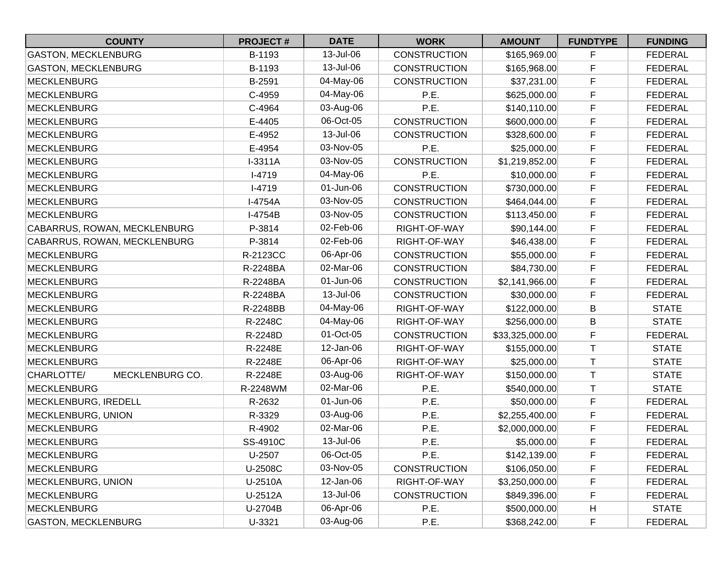| <b>COUNTY</b>                 | <b>PROJECT#</b> | <b>DATE</b> | <b>WORK</b>         | <b>AMOUNT</b>   | <b>FUNDTYPE</b> | <b>FUNDING</b> |
|-------------------------------|-----------------|-------------|---------------------|-----------------|-----------------|----------------|
| <b>GASTON, MECKLENBURG</b>    | B-1193          | 13-Jul-06   | <b>CONSTRUCTION</b> | \$165,969.00    | F               | <b>FEDERAL</b> |
| <b>GASTON, MECKLENBURG</b>    | B-1193          | 13-Jul-06   | <b>CONSTRUCTION</b> | \$165,968.00    | F               | <b>FEDERAL</b> |
| <b>MECKLENBURG</b>            | B-2591          | 04-May-06   | <b>CONSTRUCTION</b> | \$37,231.00     | F               | <b>FEDERAL</b> |
| <b>MECKLENBURG</b>            | C-4959          | 04-May-06   | P.E.                | \$625,000.00    | $\mathsf F$     | <b>FEDERAL</b> |
| <b>MECKLENBURG</b>            | C-4964          | 03-Aug-06   | P.E.                | \$140,110.00    | $\mathsf F$     | <b>FEDERAL</b> |
| <b>MECKLENBURG</b>            | E-4405          | 06-Oct-05   | <b>CONSTRUCTION</b> | \$600,000.00    | $\mathsf F$     | <b>FEDERAL</b> |
| <b>MECKLENBURG</b>            | E-4952          | 13-Jul-06   | <b>CONSTRUCTION</b> | \$328,600.00    | $\mathsf F$     | <b>FEDERAL</b> |
| MECKLENBURG                   | E-4954          | 03-Nov-05   | P.E.                | \$25,000.00     | F               | <b>FEDERAL</b> |
| <b>MECKLENBURG</b>            | I-3311A         | 03-Nov-05   | <b>CONSTRUCTION</b> | \$1,219,852.00  | F               | <b>FEDERAL</b> |
| <b>MECKLENBURG</b>            | $I-4719$        | 04-May-06   | P.E.                | \$10,000.00     | $\mathsf F$     | <b>FEDERAL</b> |
| <b>MECKLENBURG</b>            | $I-4719$        | 01-Jun-06   | <b>CONSTRUCTION</b> | \$730,000.00    | $\mathsf F$     | <b>FEDERAL</b> |
| <b>MECKLENBURG</b>            | I-4754A         | 03-Nov-05   | <b>CONSTRUCTION</b> | \$464,044.00    | F               | <b>FEDERAL</b> |
| <b>MECKLENBURG</b>            | I-4754B         | 03-Nov-05   | <b>CONSTRUCTION</b> | \$113,450.00    | F               | <b>FEDERAL</b> |
| CABARRUS, ROWAN, MECKLENBURG  | P-3814          | 02-Feb-06   | RIGHT-OF-WAY        | \$90,144.00     | F               | <b>FEDERAL</b> |
| CABARRUS, ROWAN, MECKLENBURG  | P-3814          | 02-Feb-06   | RIGHT-OF-WAY        | \$46,438.00     | $\mathsf F$     | <b>FEDERAL</b> |
| <b>MECKLENBURG</b>            | R-2123CC        | 06-Apr-06   | <b>CONSTRUCTION</b> | \$55,000.00     | $\mathsf F$     | <b>FEDERAL</b> |
| <b>MECKLENBURG</b>            | R-2248BA        | 02-Mar-06   | <b>CONSTRUCTION</b> | \$84,730.00     | $\mathsf F$     | <b>FEDERAL</b> |
| <b>MECKLENBURG</b>            | R-2248BA        | 01-Jun-06   | <b>CONSTRUCTION</b> | \$2,141,966.00  | $\mathsf F$     | <b>FEDERAL</b> |
| <b>MECKLENBURG</b>            | R-2248BA        | 13-Jul-06   | <b>CONSTRUCTION</b> | \$30,000.00     | F               | <b>FEDERAL</b> |
| MECKLENBURG                   | R-2248BB        | 04-May-06   | RIGHT-OF-WAY        | \$122,000.00    | B               | <b>STATE</b>   |
| <b>MECKLENBURG</b>            | R-2248C         | 04-May-06   | RIGHT-OF-WAY        | \$256,000.00    | B               | <b>STATE</b>   |
| <b>MECKLENBURG</b>            | R-2248D         | 01-Oct-05   | <b>CONSTRUCTION</b> | \$33,325,000.00 | $\mathsf F$     | <b>FEDERAL</b> |
| <b>MECKLENBURG</b>            | R-2248E         | 12-Jan-06   | RIGHT-OF-WAY        | \$155,000.00    | T               | <b>STATE</b>   |
| <b>MECKLENBURG</b>            | R-2248E         | 06-Apr-06   | RIGHT-OF-WAY        | \$25,000.00     | $\mathsf T$     | <b>STATE</b>   |
| CHARLOTTE/<br>MECKLENBURG CO. | R-2248E         | 03-Aug-06   | RIGHT-OF-WAY        | \$150,000.00    | $\mathsf T$     | <b>STATE</b>   |
| <b>MECKLENBURG</b>            | R-2248WM        | 02-Mar-06   | P.E.                | \$540,000.00    | Τ               | <b>STATE</b>   |
| MECKLENBURG, IREDELL          | R-2632          | 01-Jun-06   | P.E.                | \$50,000.00     | F               | <b>FEDERAL</b> |
| MECKLENBURG, UNION            | R-3329          | 03-Aug-06   | P.E.                | \$2,255,400.00  | F               | <b>FEDERAL</b> |
| <b>MECKLENBURG</b>            | R-4902          | 02-Mar-06   | P.E.                | \$2,000,000.00  | F               | <b>FEDERAL</b> |
| <b>MECKLENBURG</b>            | SS-4910C        | 13-Jul-06   | P.E.                | \$5,000.00      | F               | <b>FEDERAL</b> |
| <b>MECKLENBURG</b>            | U-2507          | 06-Oct-05   | P.E.                | \$142,139.00    | F               | <b>FEDERAL</b> |
| <b>MECKLENBURG</b>            | U-2508C         | 03-Nov-05   | <b>CONSTRUCTION</b> | \$106,050.00    | F               | <b>FEDERAL</b> |
| <b>MECKLENBURG, UNION</b>     | U-2510A         | 12-Jan-06   | RIGHT-OF-WAY        | \$3,250,000.00  | F               | <b>FEDERAL</b> |
| <b>MECKLENBURG</b>            | U-2512A         | 13-Jul-06   | <b>CONSTRUCTION</b> | \$849,396.00    | F               | <b>FEDERAL</b> |
| <b>MECKLENBURG</b>            | U-2704B         | 06-Apr-06   | P.E.                | \$500,000.00    | Н               | <b>STATE</b>   |
| <b>GASTON, MECKLENBURG</b>    | U-3321          | 03-Aug-06   | P.E.                | \$368,242.00    | $\mathsf F$     | <b>FEDERAL</b> |